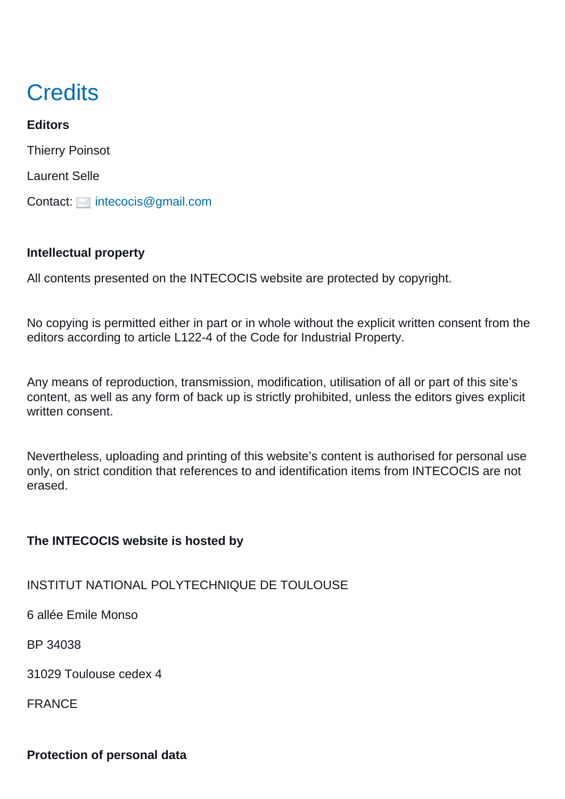# **Credits**

**Editors** Thierry Poinsot Laurent Selle Contact: [intecocis@gmail.com](mailto:intecocis@gmail.com)

#### **Intellectual property**

All contents presented on the INTECOCIS website are protected by copyright.

No copying is permitted either in part or in whole without the explicit written consent from the editors according to article L122-4 of the Code for Industrial Property.

Any means of reproduction, transmission, modification, utilisation of all or part of this site's content, as well as any form of back up is strictly prohibited, unless the editors gives explicit written consent.

Nevertheless, uploading and printing of this website's content is authorised for personal use only, on strict condition that references to and identification items from INTECOCIS are not erased.

### **The INTECOCIS website is hosted by**

#### INSTITUT NATIONAL POLYTECHNIQUE DE TOULOUSE

6 allée Emile Monso

BP 34038

31029 Toulouse cedex 4

FRANCE

## **Protection of personal data**